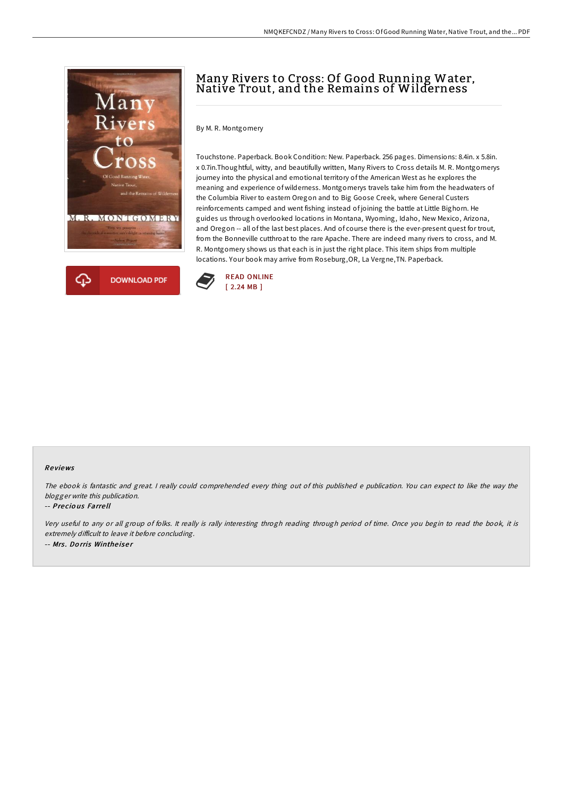

# Many Rivers to Cross: Of Good Running Water, Native Trout, and the Remains of Wilderness

By M. R. Montgomery

Touchstone. Paperback. Book Condition: New. Paperback. 256 pages. Dimensions: 8.4in. x 5.8in. x 0.7in.Thoughtful, witty, and beautifully written, Many Rivers to Cross details M. R. Montgomerys journey into the physical and emotional territory of the American West as he explores the meaning and experience of wilderness. Montgomerys travels take him from the headwaters of the Columbia River to eastern Oregon and to Big Goose Creek, where General Custers reinforcements camped and went fishing instead of joining the battle at Little Bighorn. He guides us through overlooked locations in Montana, Wyoming, Idaho, New Mexico, Arizona, and Oregon -- all of the last best places. And of course there is the ever-present quest for trout, from the Bonneville cutthroat to the rare Apache. There are indeed many rivers to cross, and M. R. Montgomery shows us that each is in just the right place. This item ships from multiple locations. Your book may arrive from Roseburg,OR, La Vergne,TN. Paperback.



## Re views

The ebook is fantastic and great. <sup>I</sup> really could comprehended every thing out of this published <sup>e</sup> publication. You can expect to like the way the blogger write this publication.

## -- Precious Farrell

Very useful to any or all group of folks. It really is rally interesting throgh reading through period of time. Once you begin to read the book, it is extremely difficult to leave it before concluding. -- Mrs. Dorris Wintheiser